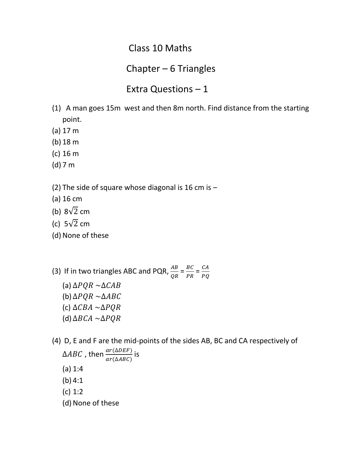## Class 10 Maths

## Chapter – 6 Triangles

## Extra Questions – 1

- (1) A man goes 15m west and then 8m north. Find distance from the starting point.
- (a) 17 m
- (b) 18 m
- (c) 16 m
- (d) 7 m
- (2) The side of square whose diagonal is 16 cm is  $-$
- (a) 16 cm
- (b)  $8\sqrt{2}$  cm
- (c)  $5\sqrt{2}$  cm
- (d) None of these
- (3) If in two triangles ABC and PQR,  $\frac{AB}{QR} = \frac{B}{P}$  $\frac{BC}{PR} = \frac{C}{P}$  $\boldsymbol{P}$ 
	- (a)  $\triangle PQR \sim \triangle CAB$ (b)  $\triangle PQR \sim \triangle ABC$ (c)  $\triangle CBA \sim \triangle PQR$ (d)  $\triangle BCA \sim \triangle PQR$
- (4) D, E and F are the mid-points of the sides AB, BC and CA respectively of  $\triangle ABC$  , then  $\frac{ar(\triangle DEF)}{ar(\triangle ABC)}$  is (a) 1:4
	- (b) 4:1
	- (c) 1:2
	- (d) None of these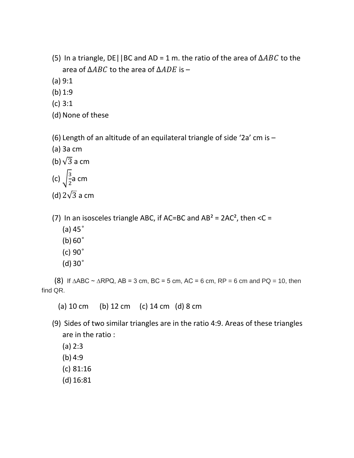- (5) In a triangle, DE | | BC and AD = 1 m. the ratio of the area of  $\triangle ABC$  to the area of  $\triangle ABC$  to the area of  $\triangle ADE$  is –
- (a) 9:1
- (b) 1:9
- (c) 3:1
- (d) None of these
- (6) Length of an altitude of an equilateral triangle of side '2a' cm is –
- (a) 3a cm
- (b)  $\sqrt{3}$  a cm

(c) 
$$
\sqrt{\frac{3}{2}}
$$
a cm

- (d)  $2\sqrt{3}$  a cm
- (7) In an isosceles triangle ABC, if AC=BC and  $AB^2 = 2AC^2$ , then <C =
	- $(a) 45°$
	- $(b) 60°$
	- (c)  $90^\circ$
	- $(d)$  30 $^{\circ}$

(8) If  $\triangle ABC \sim \triangle RPQ$ ,  $AB = 3$  cm,  $BC = 5$  cm,  $AC = 6$  cm,  $RP = 6$  cm and  $PQ = 10$ , then find QR.

(a) 10 cm (b) 12 cm (c) 14 cm (d) 8 cm

- (9) Sides of two similar triangles are in the ratio 4:9. Areas of these triangles are in the ratio :
	- (a) 2:3
	- (b) 4:9
	- (c) 81:16
	- (d) 16:81